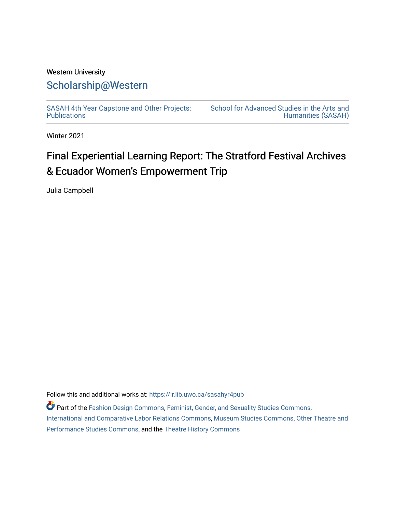## Western University [Scholarship@Western](https://ir.lib.uwo.ca/)

[SASAH 4th Year Capstone and Other Projects:](https://ir.lib.uwo.ca/sasahyr4pub)  **Publications** 

[School for Advanced Studies in the Arts and](https://ir.lib.uwo.ca/sasah)  [Humanities \(SASAH\)](https://ir.lib.uwo.ca/sasah) 

Winter 2021

# Final Experiential Learning Report: The Stratford Festival Archives & Ecuador Women's Empowerment Trip

Julia Campbell

Follow this and additional works at: [https://ir.lib.uwo.ca/sasahyr4pub](https://ir.lib.uwo.ca/sasahyr4pub?utm_source=ir.lib.uwo.ca%2Fsasahyr4pub%2F38&utm_medium=PDF&utm_campaign=PDFCoverPages) 

Part of the [Fashion Design Commons,](http://network.bepress.com/hgg/discipline/1132?utm_source=ir.lib.uwo.ca%2Fsasahyr4pub%2F38&utm_medium=PDF&utm_campaign=PDFCoverPages) [Feminist, Gender, and Sexuality Studies Commons](http://network.bepress.com/hgg/discipline/559?utm_source=ir.lib.uwo.ca%2Fsasahyr4pub%2F38&utm_medium=PDF&utm_campaign=PDFCoverPages), [International and Comparative Labor Relations Commons](http://network.bepress.com/hgg/discipline/1259?utm_source=ir.lib.uwo.ca%2Fsasahyr4pub%2F38&utm_medium=PDF&utm_campaign=PDFCoverPages), [Museum Studies Commons](http://network.bepress.com/hgg/discipline/1366?utm_source=ir.lib.uwo.ca%2Fsasahyr4pub%2F38&utm_medium=PDF&utm_campaign=PDFCoverPages), [Other Theatre and](http://network.bepress.com/hgg/discipline/558?utm_source=ir.lib.uwo.ca%2Fsasahyr4pub%2F38&utm_medium=PDF&utm_campaign=PDFCoverPages) [Performance Studies Commons](http://network.bepress.com/hgg/discipline/558?utm_source=ir.lib.uwo.ca%2Fsasahyr4pub%2F38&utm_medium=PDF&utm_campaign=PDFCoverPages), and the [Theatre History Commons](http://network.bepress.com/hgg/discipline/553?utm_source=ir.lib.uwo.ca%2Fsasahyr4pub%2F38&utm_medium=PDF&utm_campaign=PDFCoverPages)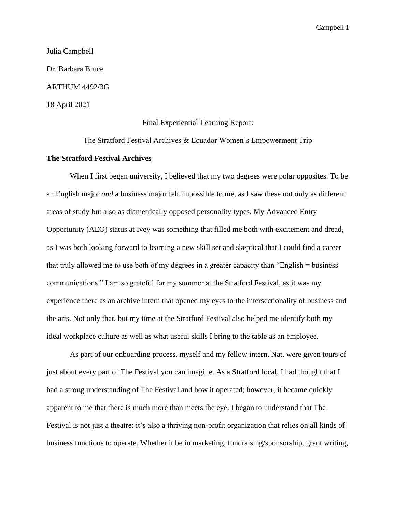Julia Campbell Dr. Barbara Bruce ARTHUM 4492/3G 18 April 2021

Final Experiential Learning Report:

The Stratford Festival Archives & Ecuador Women's Empowerment Trip

#### **The Stratford Festival Archives**

When I first began university, I believed that my two degrees were polar opposites. To be an English major *and* a business major felt impossible to me, as I saw these not only as different areas of study but also as diametrically opposed personality types. My Advanced Entry Opportunity (AEO) status at Ivey was something that filled me both with excitement and dread, as I was both looking forward to learning a new skill set and skeptical that I could find a career that truly allowed me to use both of my degrees in a greater capacity than "English = business communications." I am so grateful for my summer at the Stratford Festival, as it was my experience there as an archive intern that opened my eyes to the intersectionality of business and the arts. Not only that, but my time at the Stratford Festival also helped me identify both my ideal workplace culture as well as what useful skills I bring to the table as an employee.

 As part of our onboarding process, myself and my fellow intern, Nat, were given tours of just about every part of The Festival you can imagine. As a Stratford local, I had thought that I had a strong understanding of The Festival and how it operated; however, it became quickly apparent to me that there is much more than meets the eye. I began to understand that The Festival is not just a theatre: it's also a thriving non-profit organization that relies on all kinds of business functions to operate. Whether it be in marketing, fundraising/sponsorship, grant writing,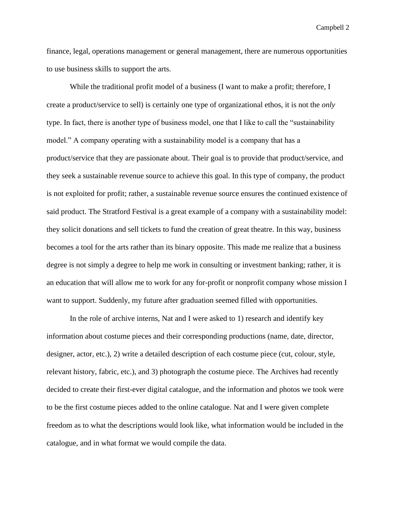finance, legal, operations management or general management, there are numerous opportunities to use business skills to support the arts.

While the traditional profit model of a business (I want to make a profit; therefore, I create a product/service to sell) is certainly one type of organizational ethos, it is not the *only*  type. In fact, there is another type of business model, one that I like to call the "sustainability model." A company operating with a sustainability model is a company that has a product/service that they are passionate about. Their goal is to provide that product/service, and they seek a sustainable revenue source to achieve this goal. In this type of company, the product is not exploited for profit; rather, a sustainable revenue source ensures the continued existence of said product. The Stratford Festival is a great example of a company with a sustainability model: they solicit donations and sell tickets to fund the creation of great theatre. In this way, business becomes a tool for the arts rather than its binary opposite. This made me realize that a business degree is not simply a degree to help me work in consulting or investment banking; rather, it is an education that will allow me to work for any for-profit or nonprofit company whose mission I want to support. Suddenly, my future after graduation seemed filled with opportunities.

 In the role of archive interns, Nat and I were asked to 1) research and identify key information about costume pieces and their corresponding productions (name, date, director, designer, actor, etc.), 2) write a detailed description of each costume piece (cut, colour, style, relevant history, fabric, etc.), and 3) photograph the costume piece. The Archives had recently decided to create their first-ever digital catalogue, and the information and photos we took were to be the first costume pieces added to the online catalogue. Nat and I were given complete freedom as to what the descriptions would look like, what information would be included in the catalogue, and in what format we would compile the data.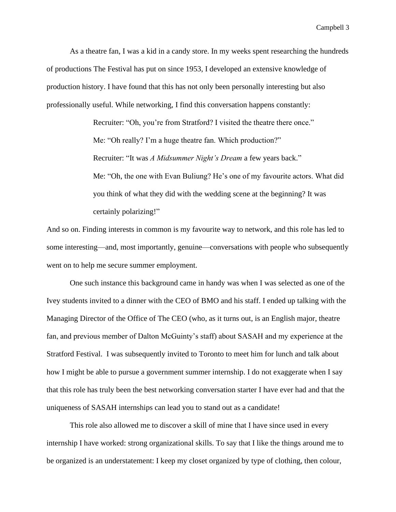As a theatre fan, I was a kid in a candy store. In my weeks spent researching the hundreds of productions The Festival has put on since 1953, I developed an extensive knowledge of production history. I have found that this has not only been personally interesting but also professionally useful. While networking, I find this conversation happens constantly:

> Recruiter: "Oh, you're from Stratford? I visited the theatre there once." Me: "Oh really? I'm a huge theatre fan. Which production?" Recruiter: "It was *A Midsummer Night's Dream* a few years back." Me: "Oh, the one with Evan Buliung? He's one of my favourite actors. What did you think of what they did with the wedding scene at the beginning? It was certainly polarizing!"

And so on. Finding interests in common is my favourite way to network, and this role has led to some interesting—and, most importantly, genuine—conversations with people who subsequently went on to help me secure summer employment.

One such instance this background came in handy was when I was selected as one of the Ivey students invited to a dinner with the CEO of BMO and his staff. I ended up talking with the Managing Director of the Office of The CEO (who, as it turns out, is an English major, theatre fan, and previous member of Dalton McGuinty's staff) about SASAH and my experience at the Stratford Festival. I was subsequently invited to Toronto to meet him for lunch and talk about how I might be able to pursue a government summer internship. I do not exaggerate when I say that this role has truly been the best networking conversation starter I have ever had and that the uniqueness of SASAH internships can lead you to stand out as a candidate!

 This role also allowed me to discover a skill of mine that I have since used in every internship I have worked: strong organizational skills. To say that I like the things around me to be organized is an understatement: I keep my closet organized by type of clothing, then colour,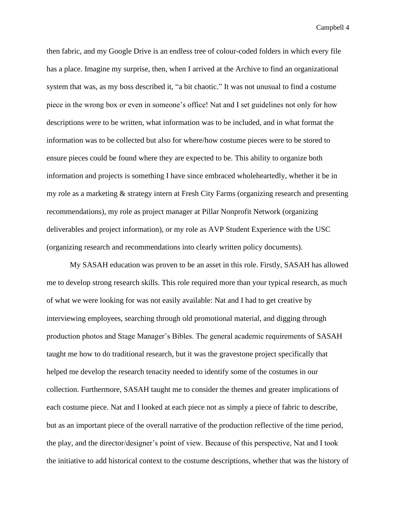then fabric, and my Google Drive is an endless tree of colour-coded folders in which every file has a place. Imagine my surprise, then, when I arrived at the Archive to find an organizational system that was, as my boss described it, "a bit chaotic." It was not unusual to find a costume piece in the wrong box or even in someone's office! Nat and I set guidelines not only for how descriptions were to be written, what information was to be included, and in what format the information was to be collected but also for where/how costume pieces were to be stored to ensure pieces could be found where they are expected to be. This ability to organize both information and projects is something I have since embraced wholeheartedly, whether it be in my role as a marketing & strategy intern at Fresh City Farms (organizing research and presenting recommendations), my role as project manager at Pillar Nonprofit Network (organizing deliverables and project information), or my role as AVP Student Experience with the USC (organizing research and recommendations into clearly written policy documents).

 My SASAH education was proven to be an asset in this role. Firstly, SASAH has allowed me to develop strong research skills. This role required more than your typical research, as much of what we were looking for was not easily available: Nat and I had to get creative by interviewing employees, searching through old promotional material, and digging through production photos and Stage Manager's Bibles. The general academic requirements of SASAH taught me how to do traditional research, but it was the gravestone project specifically that helped me develop the research tenacity needed to identify some of the costumes in our collection. Furthermore, SASAH taught me to consider the themes and greater implications of each costume piece. Nat and I looked at each piece not as simply a piece of fabric to describe, but as an important piece of the overall narrative of the production reflective of the time period, the play, and the director/designer's point of view. Because of this perspective, Nat and I took the initiative to add historical context to the costume descriptions, whether that was the history of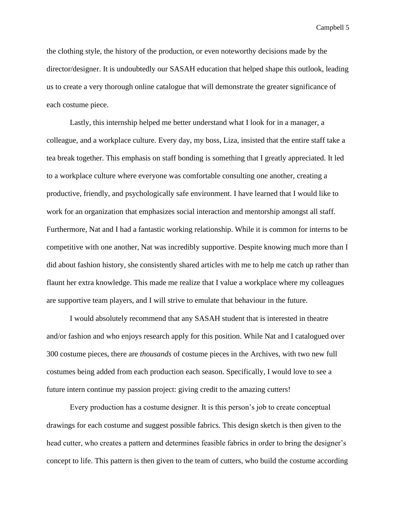the clothing style, the history of the production, or even noteworthy decisions made by the director/designer. It is undoubtedly our SASAH education that helped shape this outlook, leading us to create a very thorough online catalogue that will demonstrate the greater significance of each costume piece.

 Lastly, this internship helped me better understand what I look for in a manager, a colleague, and a workplace culture. Every day, my boss, Liza, insisted that the entire staff take a tea break together. This emphasis on staff bonding is something that I greatly appreciated. It led to a workplace culture where everyone was comfortable consulting one another, creating a productive, friendly, and psychologically safe environment. I have learned that I would like to work for an organization that emphasizes social interaction and mentorship amongst all staff. Furthermore, Nat and I had a fantastic working relationship. While it is common for interns to be competitive with one another, Nat was incredibly supportive. Despite knowing much more than I did about fashion history, she consistently shared articles with me to help me catch up rather than flaunt her extra knowledge. This made me realize that I value a workplace where my colleagues are supportive team players, and I will strive to emulate that behaviour in the future.

I would absolutely recommend that any SASAH student that is interested in theatre and/or fashion and who enjoys research apply for this position. While Nat and I catalogued over 300 costume pieces, there are *thousands* of costume pieces in the Archives, with two new full costumes being added from each production each season. Specifically, I would love to see a future intern continue my passion project: giving credit to the amazing cutters!

Every production has a costume designer. It is this person's job to create conceptual drawings for each costume and suggest possible fabrics. This design sketch is then given to the head cutter, who creates a pattern and determines feasible fabrics in order to bring the designer's concept to life. This pattern is then given to the team of cutters, who build the costume according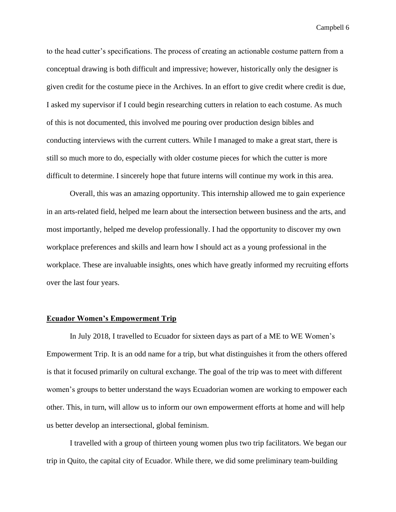to the head cutter's specifications. The process of creating an actionable costume pattern from a conceptual drawing is both difficult and impressive; however, historically only the designer is given credit for the costume piece in the Archives. In an effort to give credit where credit is due, I asked my supervisor if I could begin researching cutters in relation to each costume. As much of this is not documented, this involved me pouring over production design bibles and conducting interviews with the current cutters. While I managed to make a great start, there is still so much more to do, especially with older costume pieces for which the cutter is more difficult to determine. I sincerely hope that future interns will continue my work in this area.

Overall, this was an amazing opportunity. This internship allowed me to gain experience in an arts-related field, helped me learn about the intersection between business and the arts, and most importantly, helped me develop professionally. I had the opportunity to discover my own workplace preferences and skills and learn how I should act as a young professional in the workplace. These are invaluable insights, ones which have greatly informed my recruiting efforts over the last four years.

### **Ecuador Women's Empowerment Trip**

In July 2018, I travelled to Ecuador for sixteen days as part of a ME to WE Women's Empowerment Trip. It is an odd name for a trip, but what distinguishes it from the others offered is that it focused primarily on cultural exchange. The goal of the trip was to meet with different women's groups to better understand the ways Ecuadorian women are working to empower each other. This, in turn, will allow us to inform our own empowerment efforts at home and will help us better develop an intersectional, global feminism.

 I travelled with a group of thirteen young women plus two trip facilitators. We began our trip in Quito, the capital city of Ecuador. While there, we did some preliminary team-building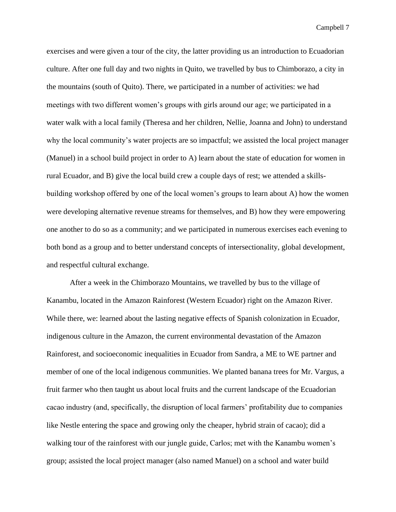exercises and were given a tour of the city, the latter providing us an introduction to Ecuadorian culture. After one full day and two nights in Quito, we travelled by bus to Chimborazo, a city in the mountains (south of Quito). There, we participated in a number of activities: we had meetings with two different women's groups with girls around our age; we participated in a water walk with a local family (Theresa and her children, Nellie, Joanna and John) to understand why the local community's water projects are so impactful; we assisted the local project manager (Manuel) in a school build project in order to A) learn about the state of education for women in rural Ecuador, and B) give the local build crew a couple days of rest; we attended a skillsbuilding workshop offered by one of the local women's groups to learn about A) how the women were developing alternative revenue streams for themselves, and B) how they were empowering one another to do so as a community; and we participated in numerous exercises each evening to both bond as a group and to better understand concepts of intersectionality, global development, and respectful cultural exchange.

 After a week in the Chimborazo Mountains, we travelled by bus to the village of Kanambu, located in the Amazon Rainforest (Western Ecuador) right on the Amazon River. While there, we: learned about the lasting negative effects of Spanish colonization in Ecuador, indigenous culture in the Amazon, the current environmental devastation of the Amazon Rainforest, and socioeconomic inequalities in Ecuador from Sandra, a ME to WE partner and member of one of the local indigenous communities. We planted banana trees for Mr. Vargus, a fruit farmer who then taught us about local fruits and the current landscape of the Ecuadorian cacao industry (and, specifically, the disruption of local farmers' profitability due to companies like Nestle entering the space and growing only the cheaper, hybrid strain of cacao); did a walking tour of the rainforest with our jungle guide, Carlos; met with the Kanambu women's group; assisted the local project manager (also named Manuel) on a school and water build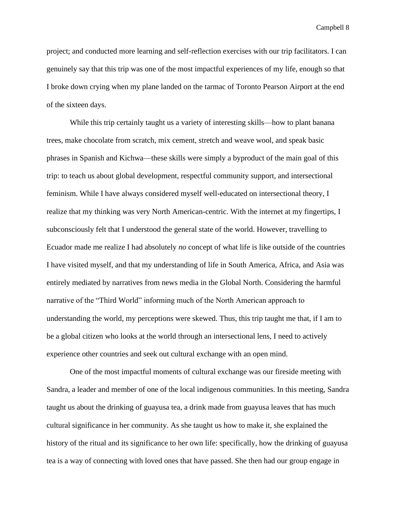project; and conducted more learning and self-reflection exercises with our trip facilitators. I can genuinely say that this trip was one of the most impactful experiences of my life, enough so that I broke down crying when my plane landed on the tarmac of Toronto Pearson Airport at the end of the sixteen days.

 While this trip certainly taught us a variety of interesting skills—how to plant banana trees, make chocolate from scratch, mix cement, stretch and weave wool, and speak basic phrases in Spanish and Kichwa—these skills were simply a byproduct of the main goal of this trip: to teach us about global development, respectful community support, and intersectional feminism. While I have always considered myself well-educated on intersectional theory, I realize that my thinking was very North American-centric. With the internet at my fingertips, I subconsciously felt that I understood the general state of the world. However, travelling to Ecuador made me realize I had absolutely *no* concept of what life is like outside of the countries I have visited myself, and that my understanding of life in South America, Africa, and Asia was entirely mediated by narratives from news media in the Global North. Considering the harmful narrative of the "Third World" informing much of the North American approach to understanding the world, my perceptions were skewed. Thus, this trip taught me that, if I am to be a global citizen who looks at the world through an intersectional lens, I need to actively experience other countries and seek out cultural exchange with an open mind.

One of the most impactful moments of cultural exchange was our fireside meeting with Sandra, a leader and member of one of the local indigenous communities. In this meeting, Sandra taught us about the drinking of guayusa tea, a drink made from guayusa leaves that has much cultural significance in her community. As she taught us how to make it, she explained the history of the ritual and its significance to her own life: specifically, how the drinking of guayusa tea is a way of connecting with loved ones that have passed. She then had our group engage in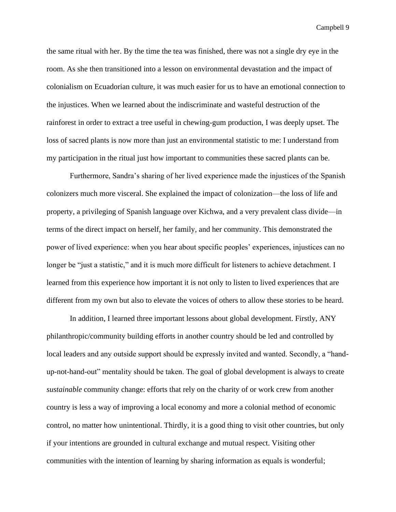the same ritual with her. By the time the tea was finished, there was not a single dry eye in the room. As she then transitioned into a lesson on environmental devastation and the impact of colonialism on Ecuadorian culture, it was much easier for us to have an emotional connection to the injustices. When we learned about the indiscriminate and wasteful destruction of the rainforest in order to extract a tree useful in chewing-gum production, I was deeply upset. The loss of sacred plants is now more than just an environmental statistic to me: I understand from my participation in the ritual just how important to communities these sacred plants can be.

Furthermore, Sandra's sharing of her lived experience made the injustices of the Spanish colonizers much more visceral. She explained the impact of colonization—the loss of life and property, a privileging of Spanish language over Kichwa, and a very prevalent class divide—in terms of the direct impact on herself, her family, and her community. This demonstrated the power of lived experience: when you hear about specific peoples' experiences, injustices can no longer be "just a statistic," and it is much more difficult for listeners to achieve detachment. I learned from this experience how important it is not only to listen to lived experiences that are different from my own but also to elevate the voices of others to allow these stories to be heard.

 In addition, I learned three important lessons about global development. Firstly, ANY philanthropic/community building efforts in another country should be led and controlled by local leaders and any outside support should be expressly invited and wanted. Secondly, a "handup-not-hand-out" mentality should be taken. The goal of global development is always to create *sustainable* community change: efforts that rely on the charity of or work crew from another country is less a way of improving a local economy and more a colonial method of economic control, no matter how unintentional. Thirdly, it is a good thing to visit other countries, but only if your intentions are grounded in cultural exchange and mutual respect. Visiting other communities with the intention of learning by sharing information as equals is wonderful;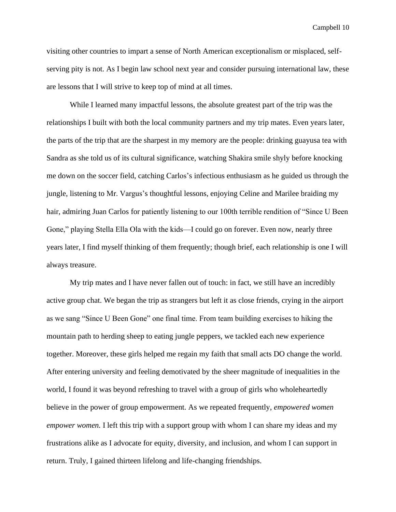visiting other countries to impart a sense of North American exceptionalism or misplaced, selfserving pity is not. As I begin law school next year and consider pursuing international law, these are lessons that I will strive to keep top of mind at all times.

 While I learned many impactful lessons, the absolute greatest part of the trip was the relationships I built with both the local community partners and my trip mates. Even years later, the parts of the trip that are the sharpest in my memory are the people: drinking guayusa tea with Sandra as she told us of its cultural significance, watching Shakira smile shyly before knocking me down on the soccer field, catching Carlos's infectious enthusiasm as he guided us through the jungle, listening to Mr. Vargus's thoughtful lessons, enjoying Celine and Marilee braiding my hair, admiring Juan Carlos for patiently listening to our 100th terrible rendition of "Since U Been Gone," playing Stella Ella Ola with the kids—I could go on forever. Even now, nearly three years later, I find myself thinking of them frequently; though brief, each relationship is one I will always treasure.

 My trip mates and I have never fallen out of touch: in fact, we still have an incredibly active group chat. We began the trip as strangers but left it as close friends, crying in the airport as we sang "Since U Been Gone" one final time. From team building exercises to hiking the mountain path to herding sheep to eating jungle peppers, we tackled each new experience together. Moreover, these girls helped me regain my faith that small acts DO change the world. After entering university and feeling demotivated by the sheer magnitude of inequalities in the world, I found it was beyond refreshing to travel with a group of girls who wholeheartedly believe in the power of group empowerment. As we repeated frequently, *empowered women empower women.* I left this trip with a support group with whom I can share my ideas and my frustrations alike as I advocate for equity, diversity, and inclusion, and whom I can support in return. Truly, I gained thirteen lifelong and life-changing friendships.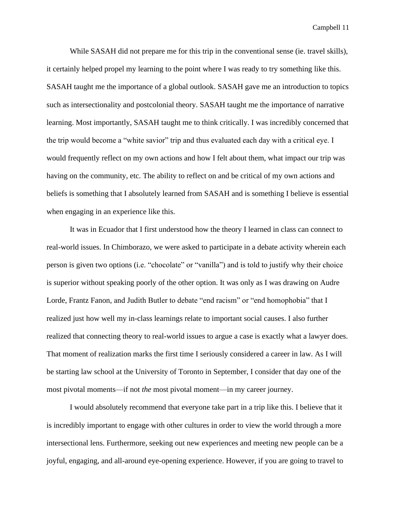While SASAH did not prepare me for this trip in the conventional sense (ie. travel skills), it certainly helped propel my learning to the point where I was ready to try something like this. SASAH taught me the importance of a global outlook. SASAH gave me an introduction to topics such as intersectionality and postcolonial theory. SASAH taught me the importance of narrative learning. Most importantly, SASAH taught me to think critically. I was incredibly concerned that the trip would become a "white savior" trip and thus evaluated each day with a critical eye. I would frequently reflect on my own actions and how I felt about them, what impact our trip was having on the community, etc. The ability to reflect on and be critical of my own actions and beliefs is something that I absolutely learned from SASAH and is something I believe is essential when engaging in an experience like this.

 It was in Ecuador that I first understood how the theory I learned in class can connect to real-world issues. In Chimborazo, we were asked to participate in a debate activity wherein each person is given two options (i.e. "chocolate" or "vanilla") and is told to justify why their choice is superior without speaking poorly of the other option. It was only as I was drawing on Audre Lorde, Frantz Fanon, and Judith Butler to debate "end racism" or "end homophobia" that I realized just how well my in-class learnings relate to important social causes. I also further realized that connecting theory to real-world issues to argue a case is exactly what a lawyer does. That moment of realization marks the first time I seriously considered a career in law. As I will be starting law school at the University of Toronto in September, I consider that day one of the most pivotal moments—if not *the* most pivotal moment—in my career journey.

I would absolutely recommend that everyone take part in a trip like this. I believe that it is incredibly important to engage with other cultures in order to view the world through a more intersectional lens. Furthermore, seeking out new experiences and meeting new people can be a joyful, engaging, and all-around eye-opening experience. However, if you are going to travel to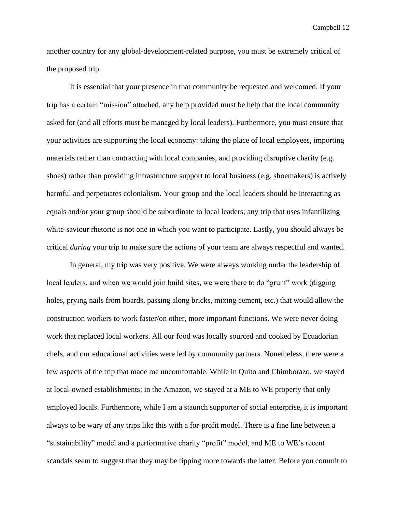another country for any global-development-related purpose, you must be extremely critical of the proposed trip.

It is essential that your presence in that community be requested and welcomed. If your trip has a certain "mission" attached, any help provided must be help that the local community asked for (and all efforts must be managed by local leaders). Furthermore, you must ensure that your activities are supporting the local economy: taking the place of local employees, importing materials rather than contracting with local companies, and providing disruptive charity (e.g. shoes) rather than providing infrastructure support to local business (e.g. shoemakers) is actively harmful and perpetuates colonialism. Your group and the local leaders should be interacting as equals and/or your group should be subordinate to local leaders; any trip that uses infantilizing white-saviour rhetoric is not one in which you want to participate. Lastly, you should always be critical *during* your trip to make sure the actions of your team are always respectful and wanted.

In general, my trip was very positive. We were always working under the leadership of local leaders, and when we would join build sites, we were there to do "grunt" work (digging holes, prying nails from boards, passing along bricks, mixing cement, etc.) that would allow the construction workers to work faster/on other, more important functions. We were never doing work that replaced local workers. All our food was locally sourced and cooked by Ecuadorian chefs, and our educational activities were led by community partners. Nonetheless, there were a few aspects of the trip that made me uncomfortable. While in Quito and Chimborazo, we stayed at local-owned establishments; in the Amazon, we stayed at a ME to WE property that only employed locals. Furthermore, while I am a staunch supporter of social enterprise, it is important always to be wary of any trips like this with a for-profit model. There is a fine line between a "sustainability" model and a performative charity "profit" model, and ME to WE's recent scandals seem to suggest that they may be tipping more towards the latter. Before you commit to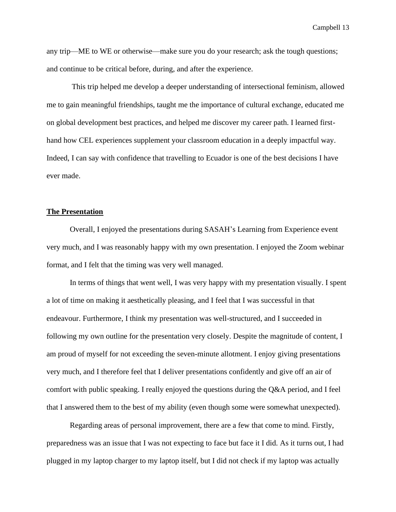any trip—ME to WE or otherwise—make sure you do your research; ask the tough questions; and continue to be critical before, during, and after the experience.

This trip helped me develop a deeper understanding of intersectional feminism, allowed me to gain meaningful friendships, taught me the importance of cultural exchange, educated me on global development best practices, and helped me discover my career path. I learned firsthand how CEL experiences supplement your classroom education in a deeply impactful way. Indeed, I can say with confidence that travelling to Ecuador is one of the best decisions I have ever made.

#### **The Presentation**

Overall, I enjoyed the presentations during SASAH's Learning from Experience event very much, and I was reasonably happy with my own presentation. I enjoyed the Zoom webinar format, and I felt that the timing was very well managed.

In terms of things that went well, I was very happy with my presentation visually. I spent a lot of time on making it aesthetically pleasing, and I feel that I was successful in that endeavour. Furthermore, I think my presentation was well-structured, and I succeeded in following my own outline for the presentation very closely. Despite the magnitude of content, I am proud of myself for not exceeding the seven-minute allotment. I enjoy giving presentations very much, and I therefore feel that I deliver presentations confidently and give off an air of comfort with public speaking. I really enjoyed the questions during the Q&A period, and I feel that I answered them to the best of my ability (even though some were somewhat unexpected).

Regarding areas of personal improvement, there are a few that come to mind. Firstly, preparedness was an issue that I was not expecting to face but face it I did. As it turns out, I had plugged in my laptop charger to my laptop itself, but I did not check if my laptop was actually